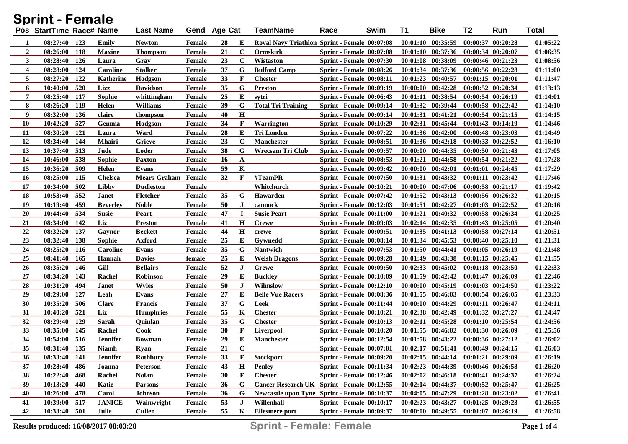| <b>Sprint - Female</b> |                          |     |                 |                     |               |              |              |                                                     |                                 |      |          |                                             |                       |                       |          |
|------------------------|--------------------------|-----|-----------------|---------------------|---------------|--------------|--------------|-----------------------------------------------------|---------------------------------|------|----------|---------------------------------------------|-----------------------|-----------------------|----------|
|                        | Pos StartTime Race# Name |     |                 | Last Name           |               | Gend Age Cat |              | <b>TeamName</b>                                     | Race                            | Swim | T1       | <b>Bike</b>                                 | T2                    | Run                   | Total    |
| 1                      | $08:27:40$ 123           |     | Emily           | Newton              | Female        | 28           | Е            | Royal Navy Triathlon Sprint - Female 00:07:08       |                                 |      |          | $00:01:10$ $00:35:59$                       |                       | $00:00:37$ $00:20:28$ | 01:05:22 |
| $\boldsymbol{2}$       | 08:26:00 118             |     | <b>Maxine</b>   | <b>Thompson</b>     | Female        | 21           | $\mathbf C$  | <b>Ormskirk</b>                                     | <b>Sprint - Female 00:07:08</b> |      |          | $00:01:10$ $00:37:36$                       |                       | 00:00:34 00:20:07     | 01:06:35 |
| 3                      | 08:28:40 126             |     | Laura           | Grav                | Female        | 23           | $\mathbf C$  | Wistaston                                           | <b>Sprint - Female 00:07:30</b> |      | 00:01:08 | 00:38:09                                    |                       | $00:00:46$ $00:21:23$ | 01:08:56 |
| $\boldsymbol{4}$       | 08:28:00                 | 124 | <b>Caroline</b> | <b>Stalker</b>      | Female        | 37           | G            | <b>Bulford Camp</b>                                 | <b>Sprint - Female 00:08:26</b> |      |          | 00:01:34 00:37:36                           |                       | $00:00:56$ $00:22:28$ | 01:11:00 |
| 5                      | 08:27:20 122             |     | Katherine       | Hodgson             | Female        | 33           | F            | <b>Chester</b>                                      | <b>Sprint - Female 00:08:11</b> |      |          | $00:01:23$ $00:40:57$                       |                       | $00:01:15$ $00:20:01$ | 01:11:47 |
| 6                      | 10:40:00                 | 520 | Lizz            | <b>Davidson</b>     | <b>Female</b> | 35           | G            | <b>Preston</b>                                      | <b>Sprint - Female 00:09:19</b> |      |          | $00:00:00$ $00:42:28$                       |                       | 00:00:52 00:20:34     | 01:13:13 |
| 7                      | 08:25:40 117             |     | Sophie          | whittingham         | <b>Female</b> | 25           | E            | svtri                                               | <b>Sprint - Female 00:06:43</b> |      | 00:01:11 | 00:38:54                                    |                       | $00:00:54$ $00:26:19$ | 01:14:01 |
| 8                      | 08:26:20 119             |     | Helen           | Williams            | Female        | 39           | G            | <b>Total Tri Training</b>                           | <b>Sprint - Female 00:09:14</b> |      |          | 00:01:32 00:39:44                           |                       | $00:00:58$ $00:22:42$ | 01:14:10 |
| 9                      | 08:32:00                 | 136 | claire          | thompson            | Female        | 40           | $\mathbf H$  |                                                     | <b>Sprint - Female 00:09:14</b> |      | 00:01:31 | 00:41:21                                    |                       | $00:00:54$ $00:21:15$ | 01:14:15 |
| <b>10</b>              | 10:42:20                 | 527 | Gemma           | Hodgson             | <b>Female</b> | 34           | F            | <b>Warrington</b>                                   | <b>Sprint - Female 00:10:29</b> |      | 00:02:31 | 00:45:44                                    |                       | $00:01:43$ $00:14:19$ | 01:14:46 |
| 11                     | 08:30:20 121             |     | Laura           | Ward                | Female        | 28           | E            | Tri London                                          | <b>Sprint - Female 00:07:22</b> |      |          | 00:01:36 00:42:00                           |                       | $00:00:48$ $00:23:03$ | 01:14:49 |
| 12                     | 08:34:40 144             |     | <b>Mhairi</b>   | Grieve              | <b>Female</b> | 23           | $\mathbf C$  | <b>Manchester</b>                                   | <b>Sprint - Female 00:08:51</b> |      |          | $00:01:36$ $00:42:18$                       |                       | $00:00:33$ $00:22:52$ | 01:16:10 |
| 13                     | 10:37:40 513             |     | Jude            | Loder               | Female        | 38           | G            | Wrecsam Tri Club                                    | <b>Sprint - Female 00:09:57</b> |      |          | 00:00:00 00:44:35                           |                       | $00:00:50$ $00:21:43$ | 01:17:05 |
| 14                     | 10:46:00                 | 538 | Sophie          | Paxton              | Female        | 16           | $\mathbf{A}$ |                                                     | <b>Sprint - Female 00:08:53</b> |      | 00:01:21 | 00:44:58                                    |                       | $00:00:54$ $00:21:22$ | 01:17:28 |
| 15                     | 10:36:20                 | 509 | Helen           | Evans               | Female        | 59           | K            |                                                     | <b>Sprint - Female 00:09:42</b> |      | 00:00:00 | 00:42:01                                    |                       | 00:01:01 00:24:45     | 01:17:29 |
| <b>16</b>              | 08:25:00 115             |     | <b>Chelsea</b>  | <b>Mears-Graham</b> | Female        | 32           | $\mathbf F$  | #TeamPR                                             | <b>Sprint - Female 00:07:50</b> |      | 00:01:31 | 00:43:32                                    |                       | $00:01:11$ $00:23:42$ | 01:17:46 |
| 17                     | 10:34:00                 | 502 | Libby           | <b>Dudleston</b>    | Female        |              |              | Whitchurch                                          | <b>Sprint - Female 00:10:21</b> |      |          | 00:00:00 00:47:06                           |                       | $00:00:58$ $00:21:17$ | 01:19:42 |
| 18                     | 10:53:40                 | 552 | Janet           | <b>Fletcher</b>     | Female        | 35           | G            | <b>Hawarden</b>                                     | <b>Sprint - Female 00:07:42</b> |      |          | $00:01:52$ $00:43:13$                       |                       | 00:00:56 00:26:32     | 01:20:15 |
| 19                     | 10:19:40                 | 459 | <b>Beverley</b> | Noble               | Female        | 50           | J.           | cannock                                             | <b>Sprint - Female 00:12:03</b> |      |          | $00:01:51$ $00:42:27$                       |                       | $00:01:03$ $00:22:52$ | 01:20:16 |
| <b>20</b>              | 10:44:40                 | 534 | <b>Susie</b>    | Peart               | Female        | 47           | $\bf I$      | <b>Susie Peart</b>                                  | <b>Sprint - Female 00:11:00</b> |      | 00:01:21 | 00:40:32                                    |                       | 00:00:58 00:26:34     | 01:20:25 |
| 21                     | 08:34:00                 | 142 | Liz             | <b>Preston</b>      | Female        | 41           | $\mathbf H$  | <b>Crewe</b>                                        | <b>Sprint - Female 00:09:03</b> |      |          | $00:02:14$ $00:42:35$                       |                       | $00:01:43$ $00:25:05$ | 01:20:40 |
| 22                     | 08:32:20                 | 137 | Gaynor          | <b>Beckett</b>      | Female        | 44           | $\mathbf H$  | crewe                                               | <b>Sprint - Female 00:09:51</b> |      |          | $00:01:35$ $00:41:13$                       |                       | 00:00:58 00:27:14     | 01:20:51 |
| 23                     | 08:32:40                 | 138 | Sophie          | Axford              | Female        | 25           | Е            | Gywnedd                                             | <b>Sprint - Female 00:08:14</b> |      |          | $00:01:34$ $00:45:53$                       |                       | $00:00:40$ $00:25:10$ | 01:21:31 |
| 24                     | 08:25:20 116             |     | <b>Caroline</b> | Evans               | Female        | 35           | G            | <b>Nantwich</b>                                     | <b>Sprint - Female 00:07:53</b> |      |          | $00:01:50$ $00:44:41$                       |                       | $00:01:05$ $00:26:19$ | 01:21:48 |
| 25                     | 08:41:40 165             |     | Hannah          | <b>Davies</b>       | female        | 25           | Е            | <b>Welsh Dragons</b>                                | <b>Sprint - Female 00:09:28</b> |      |          | 00:01:49 00:43:38                           |                       | $00:01:15$ $00:25:45$ | 01:21:55 |
| 26                     | 08:35:20 146             |     | Gill            | <b>Bellairs</b>     | Female        | 52           | $\bf J$      | <b>Crewe</b>                                        | <b>Sprint - Female 00:09:50</b> |      |          | $00:02:33$ $00:45:02$                       |                       | $00:01:18$ $00:23:50$ | 01:22:33 |
| 27                     | 08:34:20 143             |     | Rachel          | <b>Robinson</b>     | Female        | 29           | E            | <b>Buckley</b>                                      | <b>Sprint - Female 00:10:09</b> |      |          | $00:01:59$ $00:42:42$                       |                       | $00:01:47$ $00:26:09$ | 01:22:46 |
| 28                     | 10:31:20                 | 494 | <b>Janet</b>    | <b>Wyles</b>        | Female        | 50           | $\bf J$      | Wilmslow                                            | Sprint - Female 00:12:10        |      | 00:00:00 | 00:45:19                                    |                       | $00:01:03$ $00:24:50$ | 01:23:22 |
| 29                     | 08:29:00                 | 127 | Leah            | Evans               | Female        | 27           | E            | <b>Belle Vue Racers</b>                             | Sprint - Female 00:08:36        |      |          | $00:01:55$ $00:46:03$                       |                       | $00:00:54$ $00:26:05$ | 01:23:33 |
| 30                     | 10:35:20                 | 506 | <b>Clare</b>    | <b>Francis</b>      | Female        | 37           | G            | Leek                                                | <b>Sprint - Female 00:11:44</b> |      | 00:00:00 | 00:44:29                                    |                       | $00:01:11$ $00:26:47$ | 01:24:11 |
| 31                     | 10:40:20                 | 521 | Liz             | <b>Humphries</b>    | Female        | 55           | K            | <b>Chester</b>                                      | Sprint - Female 00:10:21        |      |          | $00:02:38$ $00:42:49$                       |                       | 00:01:32 00:27:27     | 01:24:47 |
| 32                     | 08:29:40 129             |     | Sarah           | Quinlan             | Female        | 35           | G            | <b>Chester</b>                                      | <b>Sprint - Female 00:10:13</b> |      | 00:02:11 | 00:45:28                                    |                       | $00:01:10$ $00:25:54$ | 01:24:56 |
| 33                     | 08:35:00                 | 145 | Rachel          | Cook                | Female        | 30           | F            | Liverpool                                           | Sprint - Female 00:10:20        |      |          | $00:01:55$ $00:46:02$                       |                       | $00:01:30$ $00:26:09$ | 01:25:56 |
| 34                     | 10:54:00 516             |     | <b>Jennifer</b> | <b>Bowman</b>       | Female        | 29           | Е            | <b>Manchester</b>                                   | <b>Sprint - Female 00:12:54</b> |      |          | $00:01:58$ $00:43:22$                       |                       | 00:00:36 00:27:12     | 01:26:02 |
| 35                     | 08:31:40 135             |     | <b>Niamh</b>    | <u>Ryan</u>         | Female        | 21           | $\mathbf C$  |                                                     | <b>Sprint - Female 00:07:01</b> |      |          | $00:02:17$ $00:51:41$                       | $00:00:49$ $00:24:15$ |                       | 01:26:03 |
| 36                     | 08:33:40 141             |     | <b>Jennifer</b> | <b>Rothbury</b>     | Female        | 33           | F            | <b>Stockport</b>                                    | Sprint - Female 00:09:20        |      |          | $00:02:15$ $00:44:14$ $00:01:21$ $00:29:09$ |                       |                       | 01:26:19 |
| 37                     | 10:28:40 486             |     | Joanna          | Peterson            | Female        | 43           | $\mathbf H$  | <b>Penley</b>                                       | Sprint - Female 00:11:34        |      |          | $00:02:23$ $00:44:39$                       | 00:00:46 00:26:58     |                       | 01:26:20 |
| 38                     | 10:22:40 468             |     | Rachel          | Nolan               | Female        | 30           | F            | <b>Chester</b>                                      | <b>Sprint - Female 00:12:46</b> |      |          | 00:02:02 00:46:18 00:00:41 00:24:37         |                       |                       | 01:26:24 |
| 39                     | 10:13:20 440             |     | Katie           | <b>Parsons</b>      | Female        | 36           | G            | Cancer Research UK Sprint - Female 00:12:55         |                                 |      |          | 00:02:14 00:44:37 00:00:52 00:25:47         |                       |                       | 01:26:25 |
| 40                     | 10:26:00 478             |     | Carol           | <b>Johnson</b>      | Female        | 36           | G            | <b>Newcastle upon Tyne Sprint - Female 00:10:37</b> |                                 |      |          | $00:04:05$ $00:47:29$                       | $00:01:28$ $00:23:02$ |                       | 01:26:41 |
| 41                     | 10:39:00 517             |     | <b>JANICE</b>   | Wainwright          | Female        | 53           | $\bf J$      | Willenhall                                          | Sprint - Female 00:10:17        |      |          | $00:02:23$ $00:43:27$                       | $00:01:25$ $00:29:23$ |                       | 01:26:55 |
| 42                     | 10:33:40 501             |     | Julie           | <b>Cullen</b>       | Female        | 55           | K            | <b>Ellesmere</b> port                               | <b>Sprint - Female 00:09:37</b> |      |          | 00:00:00 00:49:55 00:01:07 00:26:19         |                       |                       | 01:26:58 |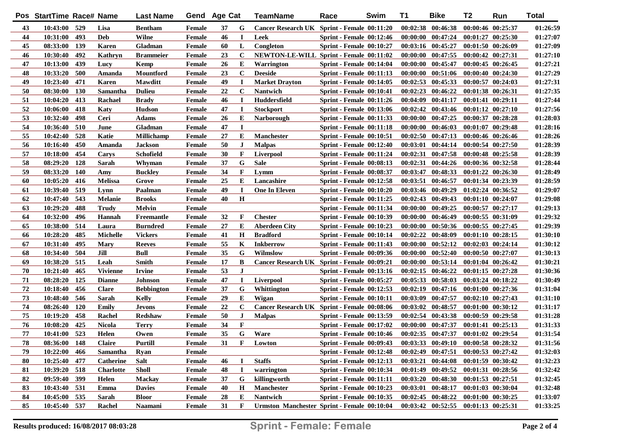|    | Pos StartTime Race# Name |            |                  | <b>Last Name</b>  | Gend          | <b>Age Cat</b> |              | TeamName                                       | Race                            | Swim | T1 | <b>Bike</b>                         | T2                    | Run                   | <b>Total</b> |
|----|--------------------------|------------|------------------|-------------------|---------------|----------------|--------------|------------------------------------------------|---------------------------------|------|----|-------------------------------------|-----------------------|-----------------------|--------------|
| 43 | 10:43:00 529             |            | Lisa             | <b>Bentham</b>    | Female        | 37             | G            | Cancer Research UK Sprint - Female 00:11:20    |                                 |      |    | $00:02:38$ $00:46:38$               | 00:00:46 00:25:37     |                       | 01:26:59     |
| 44 | 10:31:00                 | 493        | <b>Deb</b>       | Wilne             | Female        | 46             | 1            | Leek                                           | Sprint - Female 00:12:46        |      |    | $00:00:00$ $00:47:24$               |                       | $00:01:27$ $00:25:30$ | 01:27:07     |
| 45 | 08:33:00                 | 139        | <b>Karen</b>     | Gladman           | <b>Female</b> | 60             | L            | Congleton                                      | <b>Sprint - Female 00:10:27</b> |      |    | 00:03:16 00:45:27                   | 00:01:50 00:26:09     |                       | 01:27:09     |
| 46 | 10:30:40                 | 492        | Kathryn          | <b>Brammeier</b>  | <b>Female</b> | 23             | C            | <b>NEWTON-LE-WILL Sprint - Female 00:11:02</b> |                                 |      |    | $00:00:00$ $00:47:55$               | $00:00:42$ $00:27:31$ |                       | 01:27:10     |
| 47 | 10:13:00                 | 439        | Lucy             | Kemp              | Female        | 26             | E            | Warrington                                     | Sprint - Female 00:14:04        |      |    | $00:00:00$ $00:45:47$               | 00:00:45 00:26:45     |                       | 01:27:21     |
| 48 | 10:33:20                 | 500        | Amanda           | <b>Mountford</b>  | Female        | 23             | $\mathbf C$  | <b>Deeside</b>                                 | <b>Sprint - Female 00:11:13</b> |      |    | $00:00:00$ $00:51:06$               | 00:00:40 00:24:30     |                       | 01:27:29     |
| 49 | 10:23:40                 | 471        | <b>Karen</b>     | <b>Mawditt</b>    | Female        | 49             | $\mathbf I$  | <b>Market Drayton</b>                          | <b>Sprint - Female 00:14:05</b> |      |    | $00:02:53$ $00:45:33$               | 00:00:57 00:24:03     |                       | 01:27:31     |
| 50 | 08:30:00                 | 130        | Samantha         | <b>Dulieu</b>     | Female        | 22             | $\mathbf C$  | <b>Nantwich</b>                                | Sprint - Female 00:10:41        |      |    | $00:02:23$ $00:46:22$               | 00:01:38 00:26:31     |                       | 01:27:35     |
| 51 | 10:04:20                 | 413        | Rachael          | <b>Brady</b>      | Female        | 46             | $\bf{I}$     | <b>Huddersfield</b>                            | <b>Sprint - Female 00:11:26</b> |      |    | $00:04:09$ $00:41:17$               | 00:01:41 00:29:11     |                       | 01:27:44     |
| 52 | 10:06:00                 | 418        | Katy             | <b>Hudson</b>     | Female        | 47             | $\bf I$      | <b>Stockport</b>                               | <b>Sprint - Female 00:13:06</b> |      |    | $00:02:42$ $00:43:46$               | $00:01:12$ $00:27:10$ |                       | 01:27:56     |
| 53 | 10:32:40                 | 498        | Ceri             | Adams             | Female        | 26             | Е            | <b>Narborough</b>                              | <b>Sprint - Female 00:11:33</b> |      |    | $00:00:00$ $00:47:25$               | 00:00:37 00:28:28     |                       | 01:28:03     |
| 54 | 10:36:40                 | 510        | June             | Gladman           | <b>Female</b> | 47             | I            |                                                | Sprint - Female 00:11:18        |      |    | $00:00:00$ $00:46:03$               |                       | $00:01:07$ $00:29:48$ | 01:28:16     |
| 55 | 10:42:40                 | 528        | Katie            | <b>Millichamp</b> | <b>Female</b> | 27             | E            | <b>Manchester</b>                              | <b>Sprint - Female 00:10:51</b> |      |    | $00:02:50$ $00:47:13$               |                       | $00:00:46$ $00:26:46$ | 01:28:26     |
| 56 | 10:16:40                 | 450        | Amanda           | <b>Jackson</b>    | Female        | 50             | J            | <b>Malpas</b>                                  | Sprint - Female 00:12:40        |      |    | 00:03:01 00:44:14                   |                       | $00:00:54$ $00:27:50$ | 01:28:39     |
| 57 | 10:18:00                 | 454        | Carys            | Schofield         | Female        | 30             | F            | <b>Liverpool</b>                               | <b>Sprint - Female 00:11:24</b> |      |    | $00:02:31$ $00:47:58$               |                       | $00:00:48$ $00:25:58$ | 01:28:39     |
| 58 | 08:29:20                 | 128        | Sarah            | Whyman            | <b>Female</b> | 37             | G            | <b>Sale</b>                                    | <b>Sprint - Female 00:08:13</b> |      |    | $00:02:31$ $00:44:26$               |                       | 00:00:36 00:32:58     | 01:28:44     |
| 59 | 08:33:20                 | 140        | Amy              | <b>Buckley</b>    | Female        | 34             | F            | Lymm                                           | <b>Sprint - Female 00:08:37</b> |      |    | 00:03:47 00:48:33                   | $00:01:22$ $00:26:30$ |                       | 01:28:49     |
| 60 | 10:05:20                 | 416        | <b>Melissa</b>   | Grove             | Female        | 25             | E            | Lancashire                                     | <b>Sprint - Female 00:12:58</b> |      |    | 00:03:51 00:46:57                   | 00:01:34 00:23:39     |                       | 01:28:59     |
| 61 | 10:39:40                 | 519        | Lynn             | Paalman           | Female        | 49             | 1            | <b>One In Eleven</b>                           | Sprint - Female 00:10:20        |      |    | 00:03:46 00:49:29                   |                       | $01:02:24$ $00:36:52$ | 01:29:07     |
| 62 | 10:47:40                 | 543        | <b>Melanie</b>   | <b>Brooks</b>     | <b>Female</b> | 40             | Н            |                                                | <b>Sprint - Female 00:11:25</b> |      |    | 00:02:43 00:49:43                   | $00:01:10$ $00:24:07$ |                       | 01:29:08     |
| 63 | 10:29:20                 | 488        | <b>Trudy</b>     | Melvin            | Female        |                |              |                                                | Sprint - Female 00:11:34        |      |    | 00:00:00 00:49:25                   | $00:00:57$ $00:27:17$ |                       | 01:29:13     |
| 64 | 10:32:00                 | 496        | Hannah           | Freemantle        | Female        | 32             | F            | <b>Chester</b>                                 | <b>Sprint - Female 00:10:39</b> |      |    | $00:00:00$ $00:46:49$               |                       | $00:00:55$ $00:31:09$ | 01:29:32     |
| 65 | 10:38:00                 | 514        | Laura            | <b>Burndred</b>   | <b>Female</b> | 27             | Е            | <b>Aberdeen City</b>                           | <b>Sprint - Female 00:10:23</b> |      |    | 00:00:00 00:50:36                   |                       | $00:00:55$ $00:27:45$ | 01:29:39     |
| 66 | 10:28:20                 | 485        | <b>Michelle</b>  | <b>Vickers</b>    | Female        | 41             | $\mathbf H$  | <b>Bradford</b>                                | <b>Sprint - Female 00:10:14</b> |      |    | $00:02:22$ $00:48:09$               |                       | $00:01:10$ $00:28:15$ | 01:30:10     |
| 67 | 10:31:40                 | 495        | <b>Mary</b>      | Reeves            | Female        | 55             | K            | <b>Inkberrow</b>                               | <b>Sprint - Female 00:11:43</b> |      |    | $00:00:00$ $00:52:12$               |                       | $00:02:03$ $00:24:14$ | 01:30:12     |
| 68 | 10:34:40                 | 504        | Jill             | Bull              | Female        | 35             | G            | Wilmslow                                       | <b>Sprint - Female 00:09:36</b> |      |    | $00:00:00$ $00:52:40$               | $00:00:50$ $00:27:07$ |                       | 01:30:13     |
| 69 | 10:38:20                 | 515        | Leah             | Smith             | Female        | 17             | B            | Cancer Research UK Sprint - Female 00:09:21    |                                 |      |    | 00:00:00 00:53:14                   |                       | $00:01:04$ $00:26:42$ | 01:30:21     |
| 70 | 10:21:40                 | 465        | <b>Vivienne</b>  | <b>Irvine</b>     | Female        | 53             | J            |                                                | <b>Sprint - Female 00:13:16</b> |      |    | $00:02:15$ $00:46:22$               |                       | $00:01:15$ $00:27:28$ | 01:30:36     |
| 71 | 08:28:20                 | 125        | <b>Dianne</b>    | Johnson           | Female        | 47             | 1            | <b>Liverpool</b>                               | <b>Sprint - Female 00:05:27</b> |      |    | $00:05:33$ $00:58:03$               |                       | $00:03:24$ $00:18:22$ | 01:30:49     |
| 72 | 10:18:40                 | 456        | <b>Clare</b>     | <b>Bebbington</b> | Female        | 37             | G            | Whittington                                    | <b>Sprint - Female 00:12:53</b> |      |    | $00:02:19$ $00:47:16$               |                       | $00:01:00$ $00:27:36$ | 01:31:04     |
| 73 | 10:48:40                 | 546        | Sarah            | Kelly             | Female        | 29             | Е            | Wigan                                          | <b>Sprint - Female 00:10:11</b> |      |    | 00:03:09 00:47:57                   |                       | $00:02:10$ $00:27:43$ | 01:31:10     |
| 74 | 08:26:40                 | <b>120</b> | Emily            | Jevons            | Female        | 22             | $\mathbf C$  | Cancer Research UK Sprint - Female 00:08:06    |                                 |      |    | 00:03:02 00:48:57                   |                       | 00:01:00 00:30:12     | 01:31:17     |
| 75 | 10:19:20                 | 458        | Rachel           | Redshaw           | Female        | 50             | J            | <b>Malpas</b>                                  | <b>Sprint - Female 00:13:59</b> |      |    | $00:02:54$ $00:43:38$               |                       | $00:00:59$ $00:29:58$ | 01:31:28     |
| 76 | 10:08:20                 | 425        | <b>Nicola</b>    | Terry             | <b>Female</b> | 34             | F            |                                                | <b>Sprint - Female 00:17:02</b> |      |    | 00:00:00 00:47:37                   |                       | 00:01:41 00:25:13     | 01:31:33     |
| 77 | 10:41:00 523             |            | Helen            | Owen              | <b>Female</b> | 35             | G            | Ware                                           | <b>Sprint - Female 00:10:46</b> |      |    | $00:02:35$ $00:47:37$               |                       | $00:01:02$ $00:29:54$ | 01:31:54     |
| 78 | 08:36:00 148             |            | <b>Claire</b>    | Purtill           | <b>Female</b> | 31             | F            | Lowton                                         | <b>Sprint - Female 00:09:43</b> |      |    | $00:03:33$ $00:49:10$               | 00:00:58 00:28:32     |                       | 01:31:56     |
| 79 | 10:22:00 466             |            | Samantha         | <b>Ryan</b>       | Female        |                |              |                                                | Sprint - Female 00:12:48        |      |    | $00:02:49$ $00:47:51$               | $00:00:53$ $00:27:42$ |                       | 01:32:03     |
| 80 | 10:25:40                 | 477        | Catherine        | Salt              | <b>Female</b> | 46             |              | <b>Staffs</b>                                  | <b>Sprint - Female 00:12:13</b> |      |    | $00:03:21$ $00:44:08$               | $00:01:59$ $00:30:42$ |                       | 01:32:23     |
| 81 | 10:39:20 518             |            | <b>Charlotte</b> | Sholl             | <b>Female</b> | 48             |              | warrington                                     | <b>Sprint - Female 00:10:34</b> |      |    | $00:01:49$ $00:49:52$               | 00:01:31 00:28:56     |                       | 01:32:42     |
| 82 | 09:59:40 399             |            | Helen            | <b>Mackay</b>     | Female        | 37             | G            | killingworth                                   | <b>Sprint - Female 00:11:11</b> |      |    | $00:03:20$ $00:48:30$               | $00:01:53$ $00:27:51$ |                       | 01:32:45     |
| 83 | 10:43:40 531             |            | Emma             | <b>Davies</b>     | Female        | 40             | H            | Manchester                                     | Sprint - Female 00:10:23        |      |    | 00:03:01 00:48:17                   |                       | 00:01:03 00:30:04     | 01:32:48     |
| 84 | 10:45:00 535             |            | Sarah            | <b>Bloor</b>      | Female        | 28             | E            | Nantwich                                       | <b>Sprint - Female 00:10:35</b> |      |    | 00:02:45 00:48:22                   | 00:01:00 00:30:25     |                       | 01:33:07     |
| 85 | 10:45:40 537             |            | Rachel           | <b>Naamani</b>    | Female        | 31             | $\mathbf{F}$ | Urmston Manchester Sprint - Female 00:10:04    |                                 |      |    | 00:03:42 00:52:55 00:01:13 00:25:31 |                       |                       | 01:33:25     |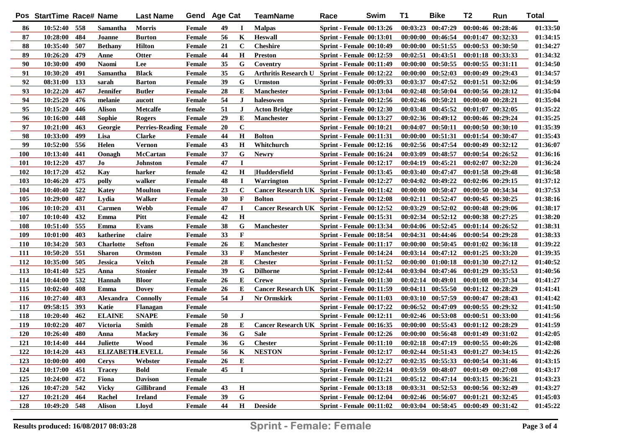|            | Pos StartTime Race# Name |     |                        | <b>Last Name</b>              |               | Gend Age Cat |              | <b>TeamName</b>                               | Race                            | Swim | <b>T1</b> | <b>Bike</b>                         | T <sub>2</sub>        | Run                   | <b>Total</b> |
|------------|--------------------------|-----|------------------------|-------------------------------|---------------|--------------|--------------|-----------------------------------------------|---------------------------------|------|-----------|-------------------------------------|-----------------------|-----------------------|--------------|
| 86         | 10:52:40 558             |     | Samantha               | <b>Morris</b>                 | <b>Female</b> | 49           | П            | <b>Malpas</b>                                 | <b>Sprint - Female 00:13:26</b> |      |           | $00:03:23$ $00:47:29$               |                       | 00:00:46 00:28:46     | 01:33:50     |
| 87         | 10:28:00                 | 484 | Joanne                 | <b>Burton</b>                 | Female        | 56           | K            | <b>Heswall</b>                                | <b>Sprint - Female 00:13:01</b> |      |           | $00:00:00$ $00:46:54$               |                       | $00:01:47$ $00:32:33$ | 01:34:15     |
| 88         | 10:35:40                 | 507 | <b>Bethany</b>         | <b>Hilton</b>                 | Female        | 21           | C            | <b>Cheshire</b>                               | <b>Sprint - Female 00:10:49</b> |      |           | $00:00:00$ $00:51:55$               |                       | $00:00:53$ $00:30:50$ | 01:34:27     |
| 89         | 10:26:20                 | 479 | Anne                   | Otter                         | <b>Female</b> | 44           | $\mathbf H$  | <b>Preston</b>                                | <b>Sprint - Female 00:12:59</b> |      |           | $00:02:51$ $00:43:51$               |                       | 00:01:18 00:33:33     | 01:34:32     |
| 90         | 10:30:00                 | 490 | <b>Naomi</b>           | Lee                           | <b>Female</b> | 35           | G            | Coventry                                      | Sprint - Female 00:11:49        |      |           | $00:00:00$ $00:50:55$               | $00:00:55$ $00:31:11$ |                       | 01:34:50     |
| 91         | 10:30:20                 | 491 | Samantha               | <b>Black</b>                  | <b>Female</b> | 35           | G            | Arthritis Research U Sprint - Female 00:12:22 |                                 |      |           | $00:00:00$ $00:52:03$               | $00:00:49$ $00:29:43$ |                       | 01:34:57     |
| 92         | 08:31:00                 | 133 | sarah                  | <b>Barton</b>                 | <b>Female</b> | 39           | G            | <b>Urmston</b>                                | <b>Sprint - Female 00:09:33</b> |      |           | $00:03:37$ $00:47:52$               |                       | 00:01:51 00:32:06     | 01:34:59     |
| 93         | 10:22:20                 | 467 | <b>Jennifer</b>        | <b>Butler</b>                 | <b>Female</b> | 28           | E            | Manchester                                    | <b>Sprint - Female 00:13:04</b> |      |           | $00:02:48$ $00:50:04$               |                       | 00:00:56 00:28:12     | 01:35:04     |
| 94         | 10:25:20                 | 476 | melanie                | aucott                        | <b>Female</b> | 54           | $\bf J$      | halesowen                                     | <b>Sprint - Female 00:12:56</b> |      |           | $00:02:46$ $00:50:21$               |                       | $00:00:40$ $00:28:21$ | 01:35:04     |
| 95         | 10:15:20                 | 446 | <b>Alison</b>          | <b>Metcalfe</b>               | female        | 51           | $\bf J$      | <b>Acton Bridge</b>                           | <b>Sprint - Female 00:12:30</b> |      |           | $00:03:48$ $00:45:52$               | $00:01:07$ $00:32:05$ |                       | 01:35:22     |
| 96         | 10:16:00                 | 448 | Sophie                 | Rogers                        | Female        | 29           | E            | <b>Manchester</b>                             | <b>Sprint - Female 00:13:27</b> |      |           | $00:02:36$ $00:49:12$               | $00:00:46$ $00:29:24$ |                       | 01:35:25     |
| 97         | 10:21:00                 | 463 | Georgie                | <b>Perries-Reading Female</b> |               | 20           | $\mathbf C$  |                                               | <b>Sprint - Female 00:10:21</b> |      |           | $00:04:07$ $00:50:11$               |                       | 00:00:50 00:30:10     | 01:35:39     |
| 98         | 10:33:00                 | 499 | Lisa                   | <b>Clarke</b>                 | <b>Female</b> | 44           | H            | <b>Bolton</b>                                 | <b>Sprint - Female 00:11:31</b> |      |           | 00:00:00 00:51:31                   |                       | 00:01:54 00:30:47     | 01:35:43     |
| 99         | 10:52:00                 | 556 | Helen                  | <b>Vernon</b>                 | Female        | 43           | H            | Whitchurch                                    | <b>Sprint - Female 00:12:16</b> |      |           | 00:02:56 00:47:54                   |                       | $00:00:49$ $00:32:12$ | 01:36:07     |
| <b>100</b> | 10:13:40                 | 441 | Oonagh                 | McCartan                      | Female        | 37           | G            | <b>Newry</b>                                  | Sprint - Female 00:16:24        |      |           | 00:03:09 00:48:57                   | 00:00:54 00:26:52     |                       | 01:36:16     |
| <b>101</b> | 10:12:20                 | 437 | Jo                     | Johnston                      | <b>Female</b> | 47           | I            |                                               | <b>Sprint - Female 00:12:17</b> |      |           | $00:04:19$ $00:45:21$               |                       | $00:02:07$ $00:32:20$ | 01:36:24     |
| 102        | 10:17:20                 | 452 | Kay                    | harker                        | female        | 42           | $\mathbf H$  | Huddersfield                                  | <b>Sprint - Female 00:13:45</b> |      |           | 00:03:40 00:47:47                   |                       | $00:01:58$ $00:29:48$ | 01:36:58     |
| 103        | 10:46:20                 | 475 | polly                  | walker                        | <b>Female</b> | 48           | $\bf{I}$     | <b>Warrington</b>                             | Sprint - Female 00:12:27        |      |           | $00:04:02$ $00:49:22$               |                       | $00:02:06$ $00:29:15$ | 01:37:12     |
| 104        | 10:40:40                 | 522 | Katey                  | <b>Moulton</b>                | Female        | 23           | $\mathbf C$  | Cancer Research UK Sprint - Female 00:11:42   |                                 |      |           | $00:00:00$ $00:50:47$               |                       | 00:00:50 00:34:34     | 01:37:53     |
| 105        | 10:29:00                 | 487 | Lydia                  | Walker                        | Female        | 30           | $\mathbf{F}$ | <b>Bolton</b>                                 | <b>Sprint - Female 00:12:08</b> |      |           | $00:02:11$ $00:52:47$               |                       | $00:00:45$ $00:30:25$ | 01:38:16     |
| 106        | 10:10:20                 | 431 | Carmen                 | <b>Webb</b>                   | <b>Female</b> | 47           | $\bf{I}$     | Cancer Research UK Sprint - Female 00:12:52   |                                 |      | 00:03:29  | 00:52:02                            |                       | $00:00:48$ $00:29:06$ | 01:38:17     |
| 107        | 10:10:40                 | 432 | Emma                   | Pitt                          | <b>Female</b> | 42           | H            |                                               | <b>Sprint - Female 00:15:31</b> |      |           | $00:02:34$ $00:52:12$               |                       | $00:00:38$ $00:27:25$ | 01:38:20     |
| 108        | 10:51:40                 | 555 | Emma                   | Evans                         | <b>Female</b> | 38           | G            | Manchester                                    | <b>Sprint - Female 00:13:34</b> |      |           | 00:04:06 00:52:45                   |                       | $00:01:14$ $00:26:52$ | 01:38:31     |
| 109        | 10:01:00                 | 403 | katherine              | claire                        | <b>Female</b> | 33           | $\mathbf{F}$ |                                               | <b>Sprint - Female 00:18:54</b> |      |           | 00:04:31 00:44:46                   |                       | $00:00:54$ $00:29:28$ | 01:38:33     |
| <b>110</b> | 10:34:20                 | 503 | <b>Charlotte</b>       | Sefton                        | <b>Female</b> | 26           | Е            | <b>Manchester</b>                             | <b>Sprint - Female 00:11:17</b> |      |           | $00:00:00$ $00:50:45$               |                       | $00:01:02$ $00:36:18$ | 01:39:22     |
| <b>111</b> | 10:50:20                 | 551 | <b>Sharon</b>          | Ormston                       | Female        | 33           | $\mathbf F$  | <b>Manchester</b>                             | <b>Sprint - Female 00:14:24</b> |      |           | $00:03:14$ $00:47:12$               |                       | $00:01:25$ $00:33:20$ | 01:39:35     |
| 112        | 10:35:00                 | 505 | <b>Jessica</b>         | Veitch                        | Female        | 28           | Е            | <b>Chester</b>                                | <b>Sprint - Female 00:11:52</b> |      |           | $00:00:00$ $01:00:18$               |                       | $00:01:30$ $00:27:12$ | 01:40:52     |
| 113        | 10:41:40                 | 525 | Anna                   | <b>Stonier</b>                | Female        | 39           | G            | <b>Dilhorne</b>                               | <b>Sprint - Female 00:12:44</b> |      |           | $00:03:04$ $00:47:46$               |                       | $00:01:29$ $00:35:53$ | 01:40:56     |
| 114        | 10:44:00                 | 532 | Hannah                 | <b>Bloor</b>                  | Female        | 26           | E            | <b>Crewe</b>                                  | <b>Sprint - Female 00:11:30</b> |      |           | $00:02:14$ $00:49:01$               |                       | 00:01:08 00:37:34     | 01:41:27     |
| 115        | 10:02:40                 | 408 | Emma                   | <b>Dovey</b>                  | Female        | 26           | Е            | Cancer Research UK Sprint - Female 00:11:59   |                                 |      |           | $00:04:11$ $00:55:50$               | 00:01:12 00:28:29     |                       | 01:41:41     |
| 116        | 10:27:40                 | 483 | Alexandra              | <b>Connolly</b>               | Female        | 54           | J            | Nr Ormskirk                                   | <b>Sprint - Female 00:11:03</b> |      |           | $00:03:10$ $00:57:59$               |                       | $00:00:47$ $00:28:43$ | 01:41:42     |
| 117        | 09:58:15                 | 393 | Katie                  | <b>Flanagan</b>               | Female        |              |              |                                               | <b>Sprint - Female 00:17:22</b> |      |           | $00:06:52$ $00:47:09$               |                       | $00:00:55$ $00:29:32$ | 01:41:50     |
| 118        | 10:20:40                 | 462 | <b>ELAINE</b>          | <b>SNAPE</b>                  | <b>Female</b> | 50           | J            |                                               | <b>Sprint - Female 00:12:11</b> |      |           | $00:02:46$ $00:53:08$               |                       | $00:00:51$ $00:33:00$ | 01:41:56     |
| 119        | 10:02:20                 | 407 | Victoria               | Smith                         | <b>Female</b> | 28           | Е            | Cancer Research UK Sprint - Female 00:16:35   |                                 |      |           | $00:00:00$ $00:55:43$               |                       | $00:01:12$ $00:28:29$ | 01:41:59     |
| 120        | 10:26:40                 | 480 | Anna                   | <b>Mackey</b>                 | <b>Female</b> | 36           | G            | <b>Sale</b>                                   | Sprint - Female 00:12:26        |      |           | $00:00:00$ $00:56:48$               |                       | 00:01:49 00:31:02     | 01:42:05     |
| 121        | 10:14:40                 | 444 | <b>Juliette</b>        | <b>Wood</b>                   | <b>Female</b> | 36           | G            | <b>Chester</b>                                | $Sprint$ - Female $00:11:10$    |      |           | $00:02:18$ $00:47:19$               | 00:00:55 00:40:26     |                       | 01:42:08     |
| 122        | 10:14:20 443             |     | <b>ELIZABETHLEVELL</b> |                               | <b>Female</b> | 56           | K            | <b>NESTON</b>                                 | <b>Sprint - Female 00:12:17</b> |      |           | 00:02:44 00:51:43 00:01:27 00:34:15 |                       |                       | 01:42:26     |
| 123        | 10:00:00                 | 400 | <b>Cerys</b>           | Webster                       | <b>Female</b> | 26           | E            |                                               | <b>Sprint - Female 00:12:27</b> |      |           | $00:02:35$ $00:55:33$               |                       | 00:00:54 00:31:46     | 01:43:15     |
| 124        | 10:17:00                 | 451 | <b>Tracey</b>          | <b>Bold</b>                   | <b>Female</b> | 45           | $\bf{I}$     |                                               | <b>Sprint - Female 00:22:14</b> |      |           | 00:03:59 00:48:07                   |                       | $00:01:49$ $00:27:08$ | 01:43:17     |
| 125        | <u>10:24:00</u>          | 472 | Fiona                  | <b>Davison</b>                | <b>Female</b> |              |              |                                               | <b>Sprint - Female 00:11:21</b> |      |           | $00:05:12$ $00:47:14$               | $00:03:15$ $00:36:21$ |                       | 01:43:23     |
| 126        | 10:47:20 542             |     | <b>Vicky</b>           | <b>Gillibrand</b>             | Female        | 43           | $\bf H$      |                                               | <b>Sprint - Female 00:13:18</b> |      |           | $00:03:31$ $00:52:53$               |                       | 00:00:56 00:32:49     | 01:43:27     |
| 127        | 10:21:20                 | 464 | Rachel                 | <b>Ireland</b>                | Female        | 39           | G            |                                               | Sprint - Female 00:12:04        |      |           | $00:02:46$ $00:56:07$               |                       | 00:01:21 00:32:45     | 01:45:03     |
| 128        | 10:49:20 548             |     | <b>Alison</b>          | Lloyd                         | <b>Female</b> | 44           | $\mathbf H$  | <b>Deeside</b>                                | Sprint - Female 00:11:02        |      |           | $00:03:04$ $00:58:45$               |                       | 00:00:49 00:31:42     | 01:45:22     |